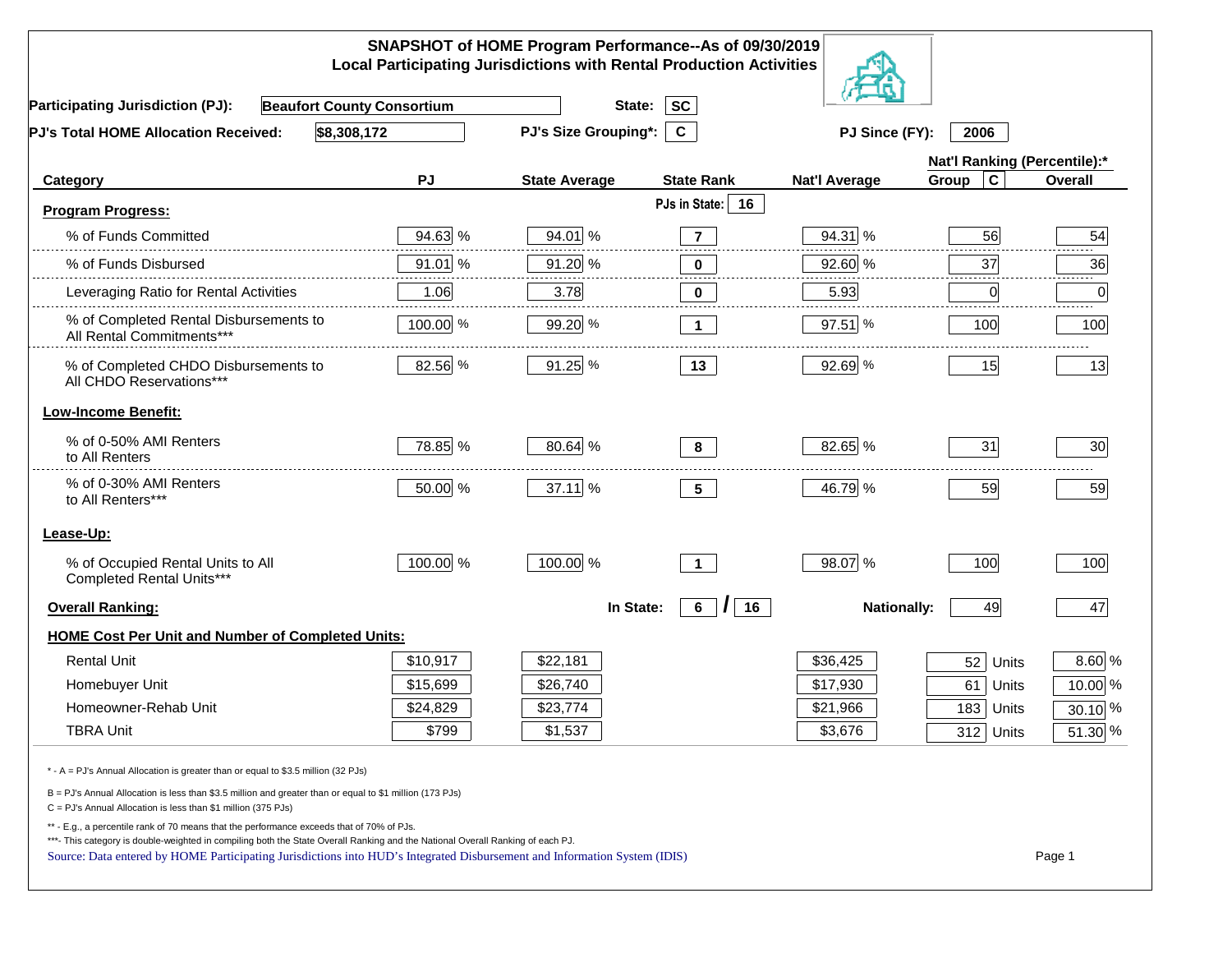|                                                                                                                                                                                                                             |           | SNAPSHOT of HOME Program Performance--As of 09/30/2019<br><b>Local Participating Jurisdictions with Rental Production Activities</b> |                                        |                      |                              |                      |
|-----------------------------------------------------------------------------------------------------------------------------------------------------------------------------------------------------------------------------|-----------|--------------------------------------------------------------------------------------------------------------------------------------|----------------------------------------|----------------------|------------------------------|----------------------|
| <b>Beaufort County Consortium</b><br><b>Participating Jurisdiction (PJ):</b>                                                                                                                                                |           | State:                                                                                                                               | <b>SC</b>                              |                      |                              |                      |
| \$8,308,172<br>PJ's Total HOME Allocation Received:                                                                                                                                                                         |           | <b>PJ's Size Grouping*:</b>                                                                                                          | $\mathbf{c}$                           | PJ Since (FY):       | 2006                         |                      |
|                                                                                                                                                                                                                             |           |                                                                                                                                      |                                        |                      | Nat'l Ranking (Percentile):* |                      |
| Category                                                                                                                                                                                                                    | PJ        | <b>State Average</b>                                                                                                                 | <b>State Rank</b>                      | <b>Nat'l Average</b> | Group<br>C                   | Overall              |
| <b>Program Progress:</b>                                                                                                                                                                                                    |           |                                                                                                                                      | PJs in State:<br>16                    |                      |                              |                      |
| % of Funds Committed                                                                                                                                                                                                        | 94.63 %   | 94.01 %                                                                                                                              | $\overline{7}$                         | 94.31 %              | 56                           | 54                   |
| % of Funds Disbursed                                                                                                                                                                                                        | $91.01$ % | 91.20 %                                                                                                                              | 0                                      | 92.60 %              | .<br>37                      | 36                   |
| Leveraging Ratio for Rental Activities                                                                                                                                                                                      | 1.06      | 3.78                                                                                                                                 | 0                                      | 5.93                 | 0                            | 0                    |
| % of Completed Rental Disbursements to<br>All Rental Commitments***                                                                                                                                                         | 100.00 %  | 99.20 %                                                                                                                              | $\mathbf 1$                            | 97.51 %              | 100                          | 100                  |
| % of Completed CHDO Disbursements to<br>All CHDO Reservations***                                                                                                                                                            | 82.56 %   | 91.25 %                                                                                                                              | 13                                     | 92.69 %              | 15                           | 13                   |
| <b>Low-Income Benefit:</b>                                                                                                                                                                                                  |           |                                                                                                                                      |                                        |                      |                              |                      |
| % of 0-50% AMI Renters<br>to All Renters                                                                                                                                                                                    | 78.85 %   | 80.64 %                                                                                                                              | 8                                      | 82.65 %              | 31                           | 30                   |
| % of 0-30% AMI Renters<br>to All Renters***                                                                                                                                                                                 | 50.00 %   | 37.11 %                                                                                                                              | 5 <sub>5</sub>                         | 46.79 %              | 59                           | 59                   |
| Lease-Up:                                                                                                                                                                                                                   |           |                                                                                                                                      |                                        |                      |                              |                      |
| % of Occupied Rental Units to All<br>Completed Rental Units***                                                                                                                                                              | 100.00 %  | 100.00 %                                                                                                                             | $\mathbf{1}$                           | 98.07 %              | 100                          | 100                  |
| <b>Overall Ranking:</b>                                                                                                                                                                                                     |           | In State:                                                                                                                            | $6\overline{6}$<br>$\mathcal{L}$<br>16 | <b>Nationally:</b>   | 49                           | 47                   |
| <b>HOME Cost Per Unit and Number of Completed Units:</b>                                                                                                                                                                    |           |                                                                                                                                      |                                        |                      |                              |                      |
| <b>Rental Unit</b>                                                                                                                                                                                                          | \$10,917  | \$22,181                                                                                                                             |                                        | \$36,425             | 52<br>Units                  | 8.60 %               |
| Homebuyer Unit                                                                                                                                                                                                              | \$15,699  | \$26,740                                                                                                                             |                                        | \$17,930             | 61<br>Units                  | 10.00 %              |
| Homeowner-Rehab Unit                                                                                                                                                                                                        | \$24,829  | \$23,774                                                                                                                             |                                        | \$21,966             | 183 Units                    | 30.10 %              |
| <b>TBRA Unit</b>                                                                                                                                                                                                            | \$799     | \$1,537                                                                                                                              |                                        | \$3,676              | 312 Units                    | $\overline{5}1.30\%$ |
| * - A = PJ's Annual Allocation is greater than or equal to \$3.5 million (32 PJs)                                                                                                                                           |           |                                                                                                                                      |                                        |                      |                              |                      |
| B = PJ's Annual Allocation is less than \$3.5 million and greater than or equal to \$1 million (173 PJs)<br>C = PJ's Annual Allocation is less than \$1 million (375 PJs)                                                   |           |                                                                                                                                      |                                        |                      |                              |                      |
| ** - E.g., a percentile rank of 70 means that the performance exceeds that of 70% of PJs.<br>***- This category is double-weighted in compiling both the State Overall Ranking and the National Overall Ranking of each PJ. |           |                                                                                                                                      |                                        |                      |                              |                      |
| Source: Data entered by HOME Participating Jurisdictions into HUD's Integrated Disbursement and Information System (IDIS)                                                                                                   |           |                                                                                                                                      |                                        |                      |                              | Page 1               |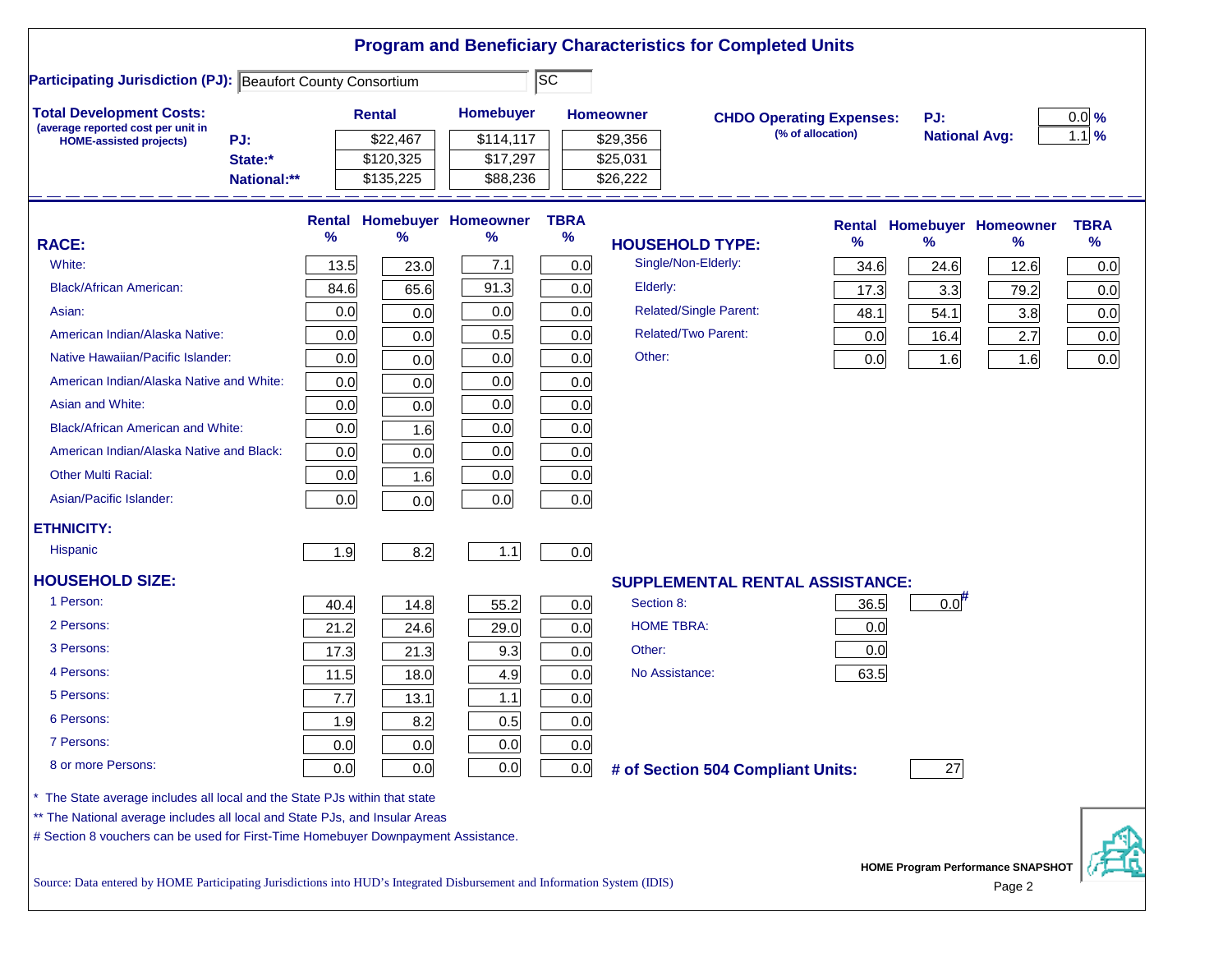|                                                                                                                           |      |               |                                   |                          |                  | <b>Program and Beneficiary Characteristics for Completed Units</b> |                                 |                      |                                          |             |
|---------------------------------------------------------------------------------------------------------------------------|------|---------------|-----------------------------------|--------------------------|------------------|--------------------------------------------------------------------|---------------------------------|----------------------|------------------------------------------|-------------|
| <b>Participating Jurisdiction (PJ): Beaufort County Consortium</b>                                                        |      |               |                                   | $\overline{\textsf{sc}}$ |                  |                                                                    |                                 |                      |                                          |             |
| <b>Total Development Costs:</b>                                                                                           |      | <b>Rental</b> | Homebuyer                         |                          | <b>Homeowner</b> |                                                                    | <b>CHDO Operating Expenses:</b> | PJ:                  |                                          | $0.0\%$     |
| (average reported cost per unit in<br>PJ:<br><b>HOME-assisted projects)</b>                                               |      | \$22,467      | \$114,117                         |                          | \$29,356         |                                                                    | (% of allocation)               | <b>National Avg:</b> |                                          | $1.1$ %     |
| State:*                                                                                                                   |      | \$120,325     | \$17,297                          |                          | \$25,031         |                                                                    |                                 |                      |                                          |             |
| National:**                                                                                                               |      | \$135,225     | \$88,236                          |                          | \$26,222         |                                                                    |                                 |                      |                                          |             |
|                                                                                                                           |      |               | <b>Rental Homebuyer Homeowner</b> | <b>TBRA</b>              |                  |                                                                    |                                 |                      | <b>Rental Homebuyer Homeowner</b>        | <b>TBRA</b> |
| <b>RACE:</b>                                                                                                              | %    | $\%$          | ℅                                 | $\%$                     |                  | <b>HOUSEHOLD TYPE:</b>                                             | $\%$                            | $\frac{9}{6}$        | %                                        | $\%$        |
| White:                                                                                                                    | 13.5 | 23.0          | 7.1                               | 0.0                      |                  | Single/Non-Elderly:                                                | 34.6                            | 24.6                 | 12.6                                     | 0.0         |
| <b>Black/African American:</b>                                                                                            | 84.6 | 65.6          | 91.3                              | 0.0                      | Elderly:         |                                                                    | 17.3                            | 3.3                  | 79.2                                     | 0.0         |
| Asian:                                                                                                                    | 0.0  | 0.0           | 0.0                               | 0.0                      |                  | <b>Related/Single Parent:</b>                                      | 48.1                            | 54.1                 | 3.8                                      | 0.0         |
| American Indian/Alaska Native:                                                                                            | 0.0  | 0.0           | 0.5                               | 0.0                      |                  | <b>Related/Two Parent:</b>                                         | 0.0                             | 16.4                 | 2.7                                      | 0.0         |
| Native Hawaiian/Pacific Islander:                                                                                         | 0.0  | 0.0           | 0.0                               | 0.0                      | Other:           |                                                                    | 0.0                             | 1.6                  | 1.6                                      | 0.0         |
| American Indian/Alaska Native and White:                                                                                  | 0.0  | 0.0           | 0.0                               | 0.0                      |                  |                                                                    |                                 |                      |                                          |             |
| Asian and White:                                                                                                          | 0.0  | 0.0           | 0.0                               | 0.0                      |                  |                                                                    |                                 |                      |                                          |             |
| <b>Black/African American and White:</b>                                                                                  | 0.0  | 1.6           | 0.0                               | 0.0                      |                  |                                                                    |                                 |                      |                                          |             |
| American Indian/Alaska Native and Black:                                                                                  | 0.0  | 0.0           | 0.0                               | 0.0                      |                  |                                                                    |                                 |                      |                                          |             |
| <b>Other Multi Racial:</b>                                                                                                | 0.0  | 1.6           | 0.0                               | 0.0                      |                  |                                                                    |                                 |                      |                                          |             |
| Asian/Pacific Islander:                                                                                                   | 0.0  | 0.0           | 0.0                               | 0.0                      |                  |                                                                    |                                 |                      |                                          |             |
| <b>ETHNICITY:</b>                                                                                                         |      |               |                                   |                          |                  |                                                                    |                                 |                      |                                          |             |
| <b>Hispanic</b>                                                                                                           | 1.9  | 8.2           | 1.1                               | 0.0                      |                  |                                                                    |                                 |                      |                                          |             |
| <b>HOUSEHOLD SIZE:</b>                                                                                                    |      |               |                                   |                          |                  | <b>SUPPLEMENTAL RENTAL ASSISTANCE:</b>                             |                                 |                      |                                          |             |
| 1 Person:                                                                                                                 | 40.4 | 14.8          | 55.2                              | 0.0                      | Section 8:       |                                                                    | 36.5                            | $0.0$ <sup>#</sup>   |                                          |             |
| 2 Persons:                                                                                                                | 21.2 | 24.6          | 29.0                              | 0.0                      |                  | <b>HOME TBRA:</b>                                                  | 0.0                             |                      |                                          |             |
| 3 Persons:                                                                                                                | 17.3 | 21.3          | 9.3                               | 0.0                      | Other:           |                                                                    | 0.0                             |                      |                                          |             |
| 4 Persons:                                                                                                                | 11.5 | 18.0          | 4.9                               | 0.0                      |                  | No Assistance:                                                     | 63.5                            |                      |                                          |             |
| 5 Persons:                                                                                                                | 7.7  | 13.1          | 1.1                               | 0.0                      |                  |                                                                    |                                 |                      |                                          |             |
| 6 Persons:                                                                                                                | 1.9  | 8.2           | 0.5                               | 0.0                      |                  |                                                                    |                                 |                      |                                          |             |
| 7 Persons:                                                                                                                | 0.0  | 0.0           | 0.0                               | 0.0                      |                  |                                                                    |                                 |                      |                                          |             |
| 8 or more Persons:                                                                                                        | 0.0  | 0.0           | 0.0                               | 0.0                      |                  | # of Section 504 Compliant Units:                                  |                                 | 27                   |                                          |             |
| * The State average includes all local and the State PJs within that state                                                |      |               |                                   |                          |                  |                                                                    |                                 |                      |                                          |             |
| ** The National average includes all local and State PJs, and Insular Areas                                               |      |               |                                   |                          |                  |                                                                    |                                 |                      |                                          |             |
| # Section 8 vouchers can be used for First-Time Homebuyer Downpayment Assistance.                                         |      |               |                                   |                          |                  |                                                                    |                                 |                      |                                          |             |
|                                                                                                                           |      |               |                                   |                          |                  |                                                                    |                                 |                      | <b>HOME Program Performance SNAPSHOT</b> |             |
| Source: Data entered by HOME Participating Jurisdictions into HUD's Integrated Disbursement and Information System (IDIS) |      |               |                                   |                          |                  |                                                                    |                                 |                      | Page 2                                   |             |